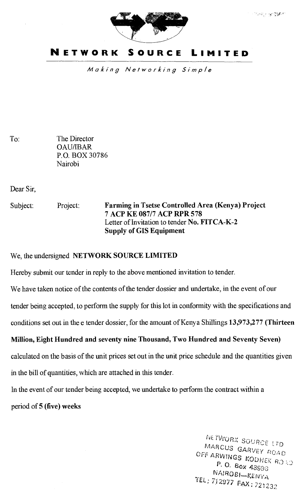

### **NETWORK SOURCE LIMITED**

Making Networking Simple

To: The Director OAU/IBAR P.O. BOX 30786 Nairobi

Dear Sir,

Subject: Project: **Farming in Tsetse Controlled Area (Kenya) Project 7 ACP KE 087/7 ACP RPR 578**  Letter of Invitation to tender **No. FITCA-K-2 Supply of GIS Equipment** 

We, the undersigned **NETWORK SOURCE LIMITED** 

Hereby submit our tender in reply to the above mentioned invitation to tender.

We have taken notice of the contents of the tender dossier and undertake, in the event of our

tender being accepted, to perform the supply for this lot in conformity with the specifications and

conditions set out in the e tender dossier, for the amount of Kenya Shillings **13,973,277 (Thirteen** 

#### **Million, Eight Hundred and seventy nine Thousand, Two Hundred and Seventy Seven)**

calculated on the basis of the unit prices set out in the unit price schedule and the quantities given

in the bill of quantities, which are attached in this tender.

In the event of our tender being accepted, we undertake to perform the contract within a period of **5 (five) weeks** 

> NETWORK SOURCE LTD MARCUS GARVEY ROAD OFF ARWINGS KODHEK ROAD<br>P. O. Box 43993<br>NAIROBI-KENYA NAIROBI—KENYA iE *712s77* FAX: *221232*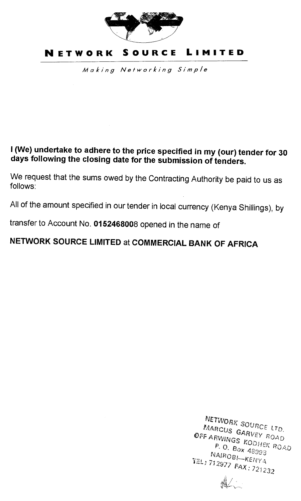

# **NETWORK SOURCE LIMITED**

Making Networking Simple

# **I (We) undertake to adhere to the price specified in my (our) tender for 30 days following the closing date for the submission of tenders.**

We request that the sums owed by the Contracting Authority be paid to us as follows:

All of the amount specified in our tender in local currency (Kenya Shillings), by

transfer to Account No. **0152468008** opened in the name of

# **NETWORK SOURCE LIMITED** at **COMMERCIAL BANK OF AFRICA**

NETWORK SOURCE LTD.<br>MARCUS GARVEY ROAD OFF ARWINGS  $k_0$  FOAD  $P, Q, P_{\text{OY}}^{\text{NODHEK}}$  $P. O. Box 48993$ <br>NAIROBI—KENYA TEL) 712977 FAX: 721232

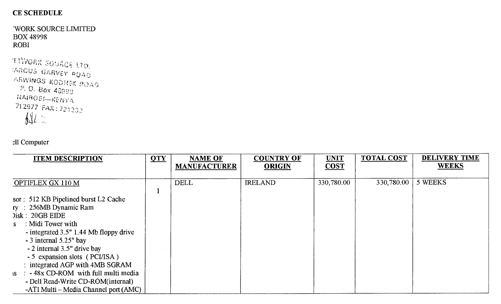#### CE SCHEDULE

-WORK SOURCE LIMITED BOX 48998 ROBI

```
'ETWORK SOURCE LTD.<br>IARCUS GARVEY ROAD
ARWINGS KODHEK ROAD
 NAIROBI-KENYA
 71 2977 FAX : 721 232
```
#### ell Computer

| <b>ITEM DESCRIPTION</b>                       | <b>QTY</b> | <b>NAME OF</b>      | <b>COUNTRY OF</b> | <b>UNIT</b> | <b>TOTAL COST</b> | <b>DELIVERY TIME</b> |
|-----------------------------------------------|------------|---------------------|-------------------|-------------|-------------------|----------------------|
|                                               |            | <b>MANUFACTURER</b> | <b>ORIGIN</b>     | <b>COST</b> |                   | <b>WEEKS</b>         |
| OPTIFLEX GX 110 M                             |            | <b>DELL</b>         | <b>IRELAND</b>    | 330,780.00  | 330,780.00        | 5 WEEKS              |
|                                               |            |                     |                   |             |                   |                      |
| sor: 512 KB Pipelined burst L2 Cache          |            |                     |                   |             |                   |                      |
| ry: 256MB Dynamic Ram                         |            |                     |                   |             |                   |                      |
| )isk: 20GB EIDE                               |            |                     |                   |             |                   |                      |
| : Midi Tower with<br>S                        |            |                     |                   |             |                   |                      |
| - integrated 3.5" 1.44 Mb floppy drive        |            |                     |                   |             |                   |                      |
| $-3$ internal 5.25" bay                       |            |                     |                   |             |                   |                      |
| - 2 internal 3.5" drive bay                   |            |                     |                   |             |                   |                      |
| - 5 expansion slots (PCI/ISA)                 |            |                     |                   |             |                   |                      |
| : integrated AGP with 4MB SGRAM               |            |                     |                   |             |                   |                      |
| -48x CD-ROM with full multi media<br>$IS \tI$ |            |                     |                   |             |                   |                      |
| - Dell Read-Write CD-ROM(internal)            |            |                     |                   |             |                   |                      |
| -ATI Multi – Media Channel port (AMC)         |            |                     |                   |             |                   |                      |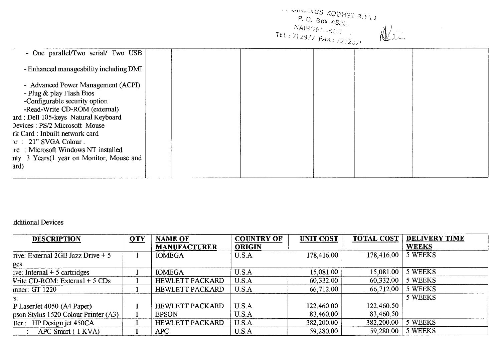|                                                                                                                                                                          |  | <b>CONTROLLER SOUTHERN BOYS</b><br>$P, O, 8$ ox 4890.<br>NAIROBI-KER |  |
|--------------------------------------------------------------------------------------------------------------------------------------------------------------------------|--|----------------------------------------------------------------------|--|
| - One parallel/Two serial/ Two USB                                                                                                                                       |  |                                                                      |  |
| - Enhanced manageability including DMI                                                                                                                                   |  |                                                                      |  |
| - Advanced Power Management (ACPI)<br>- Plug & play Flash Bios<br>-Configurable security option<br>-Read-Write CD-ROM (external)<br>ard : Dell 105-keys Natural Keyboard |  |                                                                      |  |
| Devices: PS/2 Microsoft Mouse<br>rk Card: Inbuilt network card<br>$pr : 21$ " SVGA Colour.                                                                               |  |                                                                      |  |
| ure: Microsoft Windows NT installed<br>nty 3 Years (1 year on Monitor, Mouse and<br>ard)                                                                                 |  |                                                                      |  |

#### ,dditional Devices

| <b>DESCRIPTION</b>                                      | QTY | <b>NAME OF</b>         | <b>COUNTRY OF</b> | <b>UNIT COST</b> | <b>TOTAL COST</b> | <b>DELIVERY TIME</b> |
|---------------------------------------------------------|-----|------------------------|-------------------|------------------|-------------------|----------------------|
|                                                         |     | <b>MANUFACTURER</b>    | <b>ORIGIN</b>     |                  |                   | <b>WEEKS</b>         |
| rive: External 2GB Jazz Drive $+5$                      |     | <b>IOMEGA</b>          | U.S.A             | 178,416.00       | 178,416.00        | 5 WEEKS              |
| ges                                                     |     |                        |                   |                  |                   |                      |
| ive: Internal $+5$ cartridges                           |     | <b>IOMEGA</b>          | U.S.A             | 15,081.00        | 15,081.00         | 5 WEEKS              |
| $Write CD-ROM: External + 5 CDS$                        |     | <b>HEWLETT PACKARD</b> | U.S.A             | 60,332.00        | 60,332.00         | 5 WEEKS              |
| nner: GT 1220                                           |     | <b>HEWLETT PACKARD</b> | U.S.A             | 66,712.00        | 66,712.00         | 5 WEEKS              |
| `S.                                                     |     |                        |                   |                  |                   | 5 WEEKS              |
| P Laser Jet 4050 (A4 Paper)                             |     | <b>HEWLETT PACKARD</b> | U.S.A             | 122,460.00       | 122,460.50        |                      |
| pson Stylus 1520 Colour Printer (A3)                    |     | <b>EPSON</b>           | U.S.A             | 83,460.00        | 83,460.50         |                      |
| tter : HP $\overline{\text{Design jet } 450 \text{CA}}$ |     | <b>HEWLETT PACKARD</b> | U.S.A             | 382,200.00       | 382,200.00        | 5 WEEKS              |
| APC Smart (1 KVA)                                       |     | APC                    | U.S.A             | 59,280.00        | 59,280.00         | 5 WEEKS              |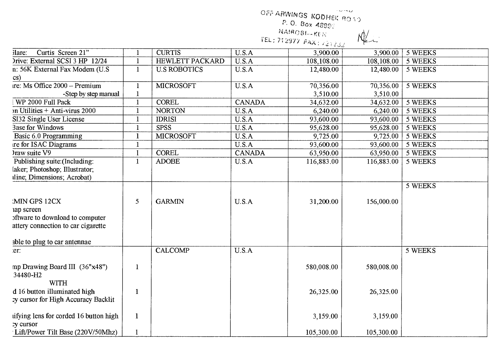OFF ARWINGS KODHEK ROAD

 $M_{\sim}$ 

P. O. Box 4899?<br>NAIROBI-KEN

 $TEL$  ; 21.2977  $FAX$  ; 72.1232

| Curtis Screen 21"<br>ilare:             |              | <b>CURTIS</b>          |               |            |            |         |
|-----------------------------------------|--------------|------------------------|---------------|------------|------------|---------|
|                                         |              |                        | U.S.A         | 3,900.00   | 3,900.00   | 5 WEEKS |
| Drive: External SCSI 3 HP 12/24         | $\mathbf{1}$ | <b>HEWLETT PACKARD</b> | U.S.A         | 108,108.00 | 108,108.00 | 5 WEEKS |
| n: 56K External Fax Modem (U.S          | $\mathbf{1}$ | <b>U.S ROBOTICS</b>    | U.S.A         | 12,480.00  | 12,480.00  | 5 WEEKS |
| cs)                                     |              |                        |               |            |            |         |
| ire: Ms Office 2000 - Premium           | 1            | <b>MICROSOFT</b>       | U.S.A         | 70,356.00  | 70,356.00  | 5 WEEKS |
| -Step by step manual                    | $\mathbf{1}$ |                        |               | 3,510.00   | 3,510.00   |         |
| WP 2000 Full Pack                       | $\mathbf{1}$ | <b>COREL</b>           | <b>CANADA</b> | 34,632.00  | 34,632.00  | 5 WEEKS |
| on Utilities + Anti-virus 2000          | -1           | <b>NORTON</b>          | U.S.A         | 6,240.00   | 6,240.00   | 5 WEEKS |
| SI32 Single User License                | $\mathbf{1}$ | <b>IDRISI</b>          | U.S.A         | 93,600.00  | 93,600.00  | 5 WEEKS |
| <b>Base for Windows</b>                 | 1            | <b>SPSS</b>            | U.S.A         | 95,628.00  | 95,628.00  | 5 WEEKS |
| Basic 6.0 Programming                   | $\mathbf{1}$ | <b>MICROSOFT</b>       | U.S.A         | 9,725.00   | 9,725.00   | 5 WEEKS |
| re for ISAC Diagrams                    |              |                        | U.S.A         | 93,600.00  | 93,600.00  | 5 WEEKS |
| $\frac{1}{2}$ raw suite $\overline{V9}$ |              | <b>COREL</b>           | <b>CANADA</b> | 63,950.00  | 63,950.00  | 5 WEEKS |
| Publishing suite: (Including:           | $\mathbf{1}$ | <b>ADOBE</b>           | U.S.A         | 116,883.00 | 116,883.00 | 5 WEEKS |
| laker; Photoshop; Illustrator;          |              |                        |               |            |            |         |
| iline; Dimensions; Acrobat)             |              |                        |               |            |            |         |
|                                         |              |                        |               |            |            | 5 WEEKS |
|                                         |              |                        |               |            |            |         |
| MIN GPS 12CX                            | 5            | <b>GARMIN</b>          | U.S.A         | 31,200.00  | 156,000.00 |         |
| ap screen                               |              |                        |               |            |            |         |
| oftware to download to computer         |              |                        |               |            |            |         |
| attery connection to car cigarette      |              |                        |               |            |            |         |
|                                         |              |                        |               |            |            |         |
| able to plug to car antennae            |              |                        |               |            |            |         |
| er:                                     |              | <b>CALCOMP</b>         | U.S.A         |            |            | 5 WEEKS |
|                                         |              |                        |               |            |            |         |
| mp Drawing Board III (36"x48")          | $\mathbf{1}$ |                        |               | 580,008.00 | 580,008.00 |         |
| 34480-H2                                |              |                        |               |            |            |         |
| <b>WITH</b>                             |              |                        |               |            |            |         |
| d 16 button illuminated high            | $\mathbf{1}$ |                        |               | 26,325.00  | 26,325.00  |         |
| cy cursor for High Accuracy Backlit     |              |                        |               |            |            |         |
|                                         |              |                        |               |            |            |         |
| ufying lens for corded 16 button high   | $\mathbf{1}$ |                        |               | 3,159.00   | 3,159.00   |         |
| ry cursor                               |              |                        |               |            |            |         |
| Lift/Power Tilt Base (220V/50Mhz)       | 1            |                        |               | 105,300.00 | 105,300.00 |         |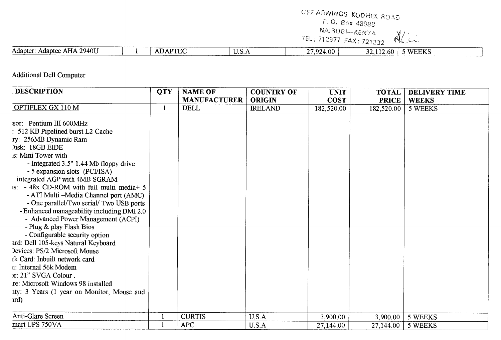# OFF ARWINGS KODHEK ROAD

P. O. Box. .48093'

NAIROBI—KENYA

Alin EL; 712977 FAX: 721232

| \ 2940IJ<br>AHA<br>Adapter<br>Adaptec<br>$\sim$ | $\sim$ 200 $\sim$ 200 $\sim$<br>$-11$<br>. | -<br>. | $+001$<br>⊿רם דר | . .<br>n<br>.bU. | weeve<br>WEENS |
|-------------------------------------------------|--------------------------------------------|--------|------------------|------------------|----------------|
|                                                 |                                            |        |                  |                  |                |

Additional Dell Computer

| <b>DESCRIPTION</b>                                                                                                                                                                                                                                                                                                                                                                                       | <b>QTY</b> | <b>NAME OF</b>      | <b>COUNTRY OF</b> | <b>UNIT</b> | <b>TOTAL</b> | <b>DELIVERY TIME</b> |
|----------------------------------------------------------------------------------------------------------------------------------------------------------------------------------------------------------------------------------------------------------------------------------------------------------------------------------------------------------------------------------------------------------|------------|---------------------|-------------------|-------------|--------------|----------------------|
|                                                                                                                                                                                                                                                                                                                                                                                                          |            | <b>MANUFACTURER</b> | <b>ORIGIN</b>     | <b>COST</b> | <b>PRICE</b> | <b>WEEKS</b>         |
| OPTIFLEX GX 110 M                                                                                                                                                                                                                                                                                                                                                                                        | 1          | <b>DELL</b>         | <b>IRELAND</b>    | 182,520.00  | 182,520.00   | 5 WEEKS              |
| sor: Pentium III 600MHz<br>512 KB Pipelined burst L2 Cache<br>ry: 256MB Dynamic Ram<br>Disk: 18GB EIDE                                                                                                                                                                                                                                                                                                   |            |                     |                   |             |              |                      |
| s: Mini Tower with                                                                                                                                                                                                                                                                                                                                                                                       |            |                     |                   |             |              |                      |
| - Integrated 3.5" 1.44 Mb floppy drive<br>- 5 expansion slots (PCI/ISA)<br>integrated AGP with 4MB SGRAM<br>$\text{1S}$ : - 48x CD-ROM with full multi media + 5<br>- ATI Multi - Media Channel port (AMC)<br>- One parallel/Two serial/ Two USB ports<br>- Enhanced manageability including DMI 2.0<br>- Advanced Power Management (ACPI)<br>- Plug & play Flash Bios<br>- Configurable security option |            |                     |                   |             |              |                      |
| ard: Dell 105-keys Natural Keyboard                                                                                                                                                                                                                                                                                                                                                                      |            |                     |                   |             |              |                      |
| Devices: PS/2 Microsoft Mouse                                                                                                                                                                                                                                                                                                                                                                            |            |                     |                   |             |              |                      |
| rk Card: Inbuilt network card<br>n: Internal 56k Modem                                                                                                                                                                                                                                                                                                                                                   |            |                     |                   |             |              |                      |
| r: 21" SVGA Colour.                                                                                                                                                                                                                                                                                                                                                                                      |            |                     |                   |             |              |                      |
| re: Microsoft Windows 98 installed                                                                                                                                                                                                                                                                                                                                                                       |            |                     |                   |             |              |                      |
| ity: 3 Years (1 year on Monitor, Mouse and<br>urd)                                                                                                                                                                                                                                                                                                                                                       |            |                     |                   |             |              |                      |
| Anti-Glare Screen                                                                                                                                                                                                                                                                                                                                                                                        |            | <b>CURTIS</b>       | U.S.A             | 3,900.00    | 3,900.00     | 5 WEEKS              |
| mart UPS 750VA                                                                                                                                                                                                                                                                                                                                                                                           |            | <b>APC</b>          | U.S.A             | 27,144.00   | 27,144.00    | 5 WEEKS              |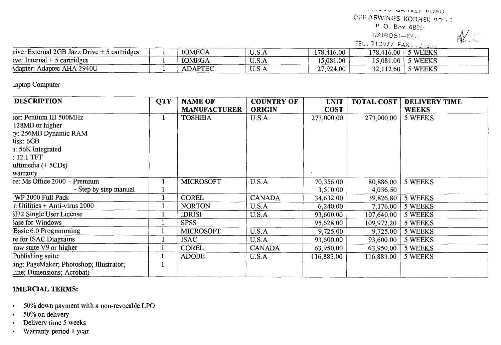FOUR FRAME ROAD

OFF ARWINGS KODHEK BOND

P. O. Box 4895.

1,141R03;—KF.:-.

 $M$ 

TEL: 712977 FAX; 20206

| rive: External 2GB Jazz Drive +<br>5 cartridges | <b>IOMEGA</b>  | 11 C<br>U.D.A | ,416.00<br>178.4 | 178,416.00 | 5 WEEKS      |
|-------------------------------------------------|----------------|---------------|------------------|------------|--------------|
| ive: Internal<br>cartridges                     | <b>IOMEGA</b>  | TT C<br>U.D.A | 15.081.00        | 15,081.00  | <b>WEEKS</b> |
| Adaptec AHA 2940U<br>Adapter                    | <b>ADAPTEC</b> | TT C<br>U.S.A | 27,924.00        | 2.60       | WEEKS        |

Laptop Computer

| <b>DESCRIPTION</b>                       | <b>QTY</b> | <b>NAME OF</b>      | <b>COUNTRY OF</b> | <b>UNIT</b> | <b>TOTAL COST</b> | <b>DELIVERY TIME</b> |
|------------------------------------------|------------|---------------------|-------------------|-------------|-------------------|----------------------|
|                                          |            | <b>MANUFACTURER</b> | <b>ORIGIN</b>     | <b>COST</b> |                   | <b>WEEKS</b>         |
| sor: Pentium III 500MHz                  |            | <b>TOSHIBA</b>      | U.S.A             | 273,000.00  | 273,000.00        | 5 WEEKS              |
| 128MB or higher                          |            |                     |                   |             |                   |                      |
| ry: 256MB Dynamic RAM                    |            |                     |                   |             |                   |                      |
| $list: 6GB$                              |            |                     |                   |             |                   |                      |
| a: 56K Integrated                        |            |                     |                   |             |                   |                      |
| $: 12.1$ TFT                             |            |                     |                   |             |                   |                      |
| ultimedia $(+5CDs)$                      |            |                     |                   |             |                   |                      |
| warranty                                 |            |                     |                   |             |                   |                      |
| re: Ms Office 2000 – Premium             |            | <b>MICROSOFT</b>    | U.S.A             | 70,356.00   | 80,886.00         | 5 WEEKS              |
| - Step by step manual                    |            |                     |                   | 3,510.00    | 4,036.50          |                      |
| WP 2000 Full Pack                        |            | <b>COREL</b>        | <b>CANADA</b>     | 34,632.00   | 39,826.80         | 5 WEEKS              |
| $\eta$ Utilities + Anti-virus 2000       |            | <b>NORTON</b>       | U.S.A             | 6,240.00    | 7,176.00          | 5 WEEKS              |
| SI32 Single User License                 |            | <b>IDRISI</b>       | U.S.A             | 93,600.00   | 107,640.00        | 5 WEEKS              |
| <b>Base for Windows</b>                  |            | <b>SPSS</b>         |                   | 95,628.00   | 109,972.20        | 5 WEEKS              |
| Basic 6.0 Programming                    |            | <b>MICROSOFT</b>    | U.S.A             | 9,725.00    | 9,725.00          | 5 WEEKS              |
| re for ISAC Diagrams                     |            | <b>ISAC</b>         | U.S.A             | 93,600.00   | 93,600.00         | 5 WEEKS              |
| raw suite V9 or higher                   |            | <b>COREL</b>        | <b>CANADA</b>     | 63,950.00   | 63,950.00         | 5 WEEKS              |
| Publishing suite:                        |            | <b>ADOBE</b>        | U.S.A             | 116,883.00  | 116,883.00        | 5 WEEKS              |
| ling: PageMaker; Photoshop; Illustrator; |            |                     |                   |             |                   |                      |
| line; Dimensions; Acrobat)               |            |                     |                   |             |                   |                      |

#### **IMERCIAL TERMS:**

- 50% down payment with a non-revocable LPO
- 50% on delivery
- Delivery time 5 weeks
- Warranty period **1** year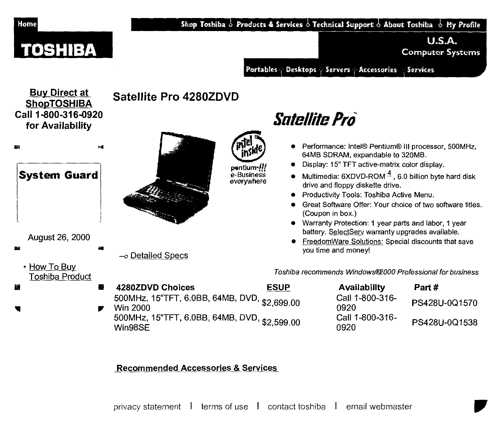

#### **Recommended Accessories & Services**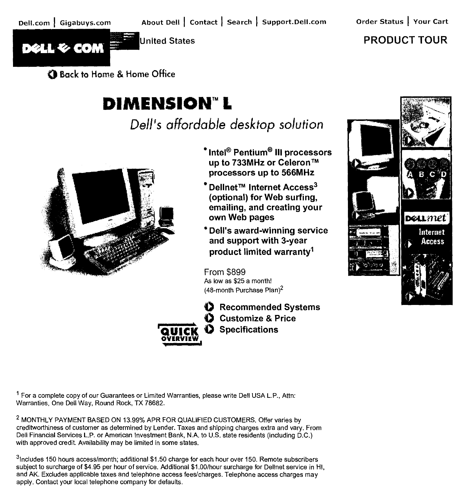

**PRODUCT TOUR** 

Bock to Home & Home **Office** 

# **DIMENSION"** L

Dell's affordable desktop solution



- **'Intel®Pentium° III processors up to 733MHz or Celeron TM processors up to 566MHz**
- <sup>●</sup> Delinet<sup>™</sup> Internet Access<sup>3</sup> **(optional) for Web surfing, emailing, and creating your own Web pages**
- **\*Dell's award-winning service and support with 3-year product limited warranty**

From \$899 As low as \$25 a month! (48-month Purchase Plan)2



**0 Recommended Systems 0 Customize & Price QUICK 0 Specifications** 



1 For a complete copy of our Guarantees or Limited Warranties, please write Dell USA L.P., Attn: Warranties, One Dell Way, Round Rock, TX 78682.

**2** MONTHLY PAYMENT BASED ON 13.99% APR FOR QUALIFIED CUSTOMERS. Offer varies by creditworthiness of customer as determined by Lender. Taxes and shipping charges extra and vary. From Dell Financial Services L.P. or American Investment Bank, N.A. to U.S. state residents (including D.C.) with approved credit. Availability may be limited in some states.

3lncludes 150 hours access/month; additional \$1.50 charge for each hour over 150. Remote subscribers subject to surcharge of \$4.95 per hour of service. Additional \$1.00/hour surcharge for Dellnet service in HI, and AK. Excludes applicable taxes and telephone access fees/charges. Telephone access charges may apply. Contact your local telephone company for defaults.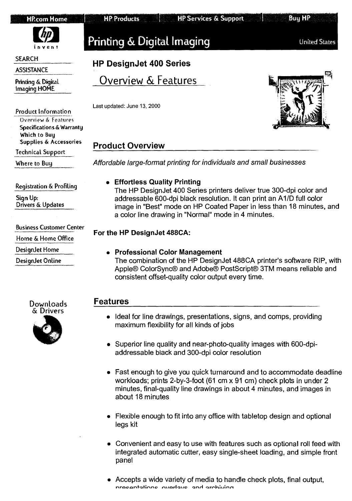| <b>HP.com Home</b> |  |  |  |
|--------------------|--|--|--|
|                    |  |  |  |

Buy HP



**SEARCH** 

**ASSISTANCE** 

**Printing & Digital Imaging HOME** 

**Product Information** 

**Overview & Features Specifications &** Warranty Which to Buy Supplies & **Accessories** 

**Technical Support** 

**Where to Buy** 

**Registration&Profiling** 

**Sign Up: Drivers & Updates** 

**BUS inessCustomer Center** 

**Home & Home Office** 

**DesignJet Home** 

**DesignJet Online** 

Printing & Digital Imaging The Contract United States

**HP DesignJet 400 Series** 

Overview & Features

Last updated: June 13, 2000

**HP Products** 



### **Product Overview**

Affordable large-format printing for individuals and small businesses

#### **• Effortless Quality Printing**

The HP DesignJet 400 Series printers deliver true 300-dpi color and addressable 600-dpi black resolution. It can print an A1/D full color image in "Best" mode on HP Coated Paper in less than 18 minutes, and a color line drawing in "Normal" mode in 4 minutes.

### **For the HP DesignJet 488CA:**

#### **• Professional Color Management**

The combination of the HP DesignJet 488CA printer's software RIP, with Apple® ColorSync® and Adobe® PostScript® 3TM means reliable and consistent offset-quality color output every time.

### **Features**

- Ideal **for line** drawings, presentations, signs, and comps, providing maximum **flexibility for all kinds of jobs**
- **Superior line quality and** near-photo-quality images with 600-dpiaddressable black and 300-dpi color resolution
- Fast enough to give you quick turnaround and to accommodate deadline workloads; prints 2-by-3-foot (61 cm x 91 cm) check plots in under 2 minutes, final-quality line drawings in about 4 minutes, and images in about 18 minutes
- Flexible enough to fit into any office with tabletop design and optional legs kit
- Convenient and easy to use with features such as optional roll feed with integrated automatic cutter, easy single-sheet loading, and simple front panel
- Accepts a wide variety of media to handle check plots, final output, mrecontatione overlave and archiving

**Downloads & Drivers** 

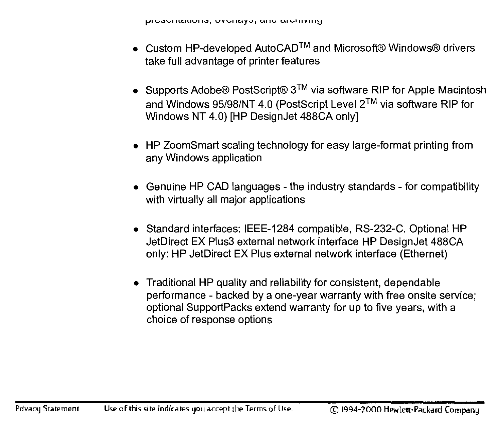- Custom HP-developed AutoCAD<sup>TM</sup> and Microsoft® Windows® drivers take full advantage of printer features
- Supports Adobe® PostScript®  $3^{TM}$  via software RIP for Apple Macintosh and Windows 95/98/NT 4.0 (PostScript Level 2TM via software RIP for Windows NT 4.0) [HP DesignJet 488CA only]
- HP ZoomSmart scaling technology for easy large-format printing from any Windows application
- Genuine HP CAD languages the industry standards for compatibility with virtually all major applications
- Standard interfaces: IEEE-1284 compatible, RS-232-C. Optional HP JetDirect EX Plus3 external network interface HP DesignJet 488CA only: HP JetDirect EX Plus external network interface (Ethernet)
- Traditional HP quality and reliability for consistent, dependable performance - backed by a one-year warranty with free onsite service; optional SupportPacks extend warranty for up to five years, with a choice of response options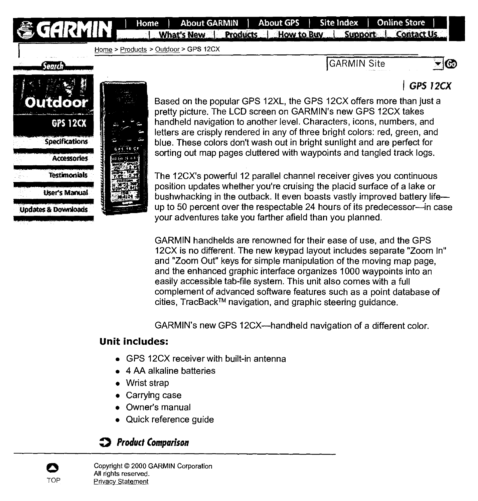**GARMIN** | Home | About GARMIN | About GPS | Site Index | Online Store |<br>**GARMIN** - What's New & Products | How to Buy | Support & Contact Us

Home > Products > Outdoor > GPS 12CX

(GARMIN Site

# *GPS 72CX*

ு⊚



Senrch



Based on the popular GPS 12XL, the GPS 12CX offers more than just a pretty picture. The LCD screen on GARMIN's new GPS 12CX takes handheld navigation to another level. Characters, icons, numbers, and letters are crisply rendered in any of three bright colors: red, green, and blue. These colors don't wash out in bright sunlight and are perfect for sorting out map pages cluttered with waypoints and tangled track logs.

The 12CX's powerful 12 parallel channel receiver gives you continuous position updates whether you're cruising the placid surface of a lake or bushwhacking in the outback. It even boasts vastly improved battery life up to 50 percent over the respectable 24 hours of its predecessor—in case your adventures take you farther afield than you planned.

GARMIN handhelds are renowned for their ease of use, and the GPS 12CX is no different. The new keypad layout includes separate "Zoom In" and "Zoom Out" keys for simple manipulation of the moving map page, and the enhanced graphic interface organizes 1000 waypoints into an easily accessible tab-file system. This unit also comes with a full complement of advanced software features such as a point database of cities, TracBack™ navigation, and graphic steering guidance.

GARMIN's new GPS 12CX—handheld navigation of a different color.

#### **Unit includes:**

- GPS 12CX receiver with built-in antenna
- 4 AA alkaline batteries
- Wrist strap
- Carrying case
- Owner's manual
- Quick reference guide

# *0 Product Comparison*

Copyright © 2000 GARMIN Corporation All rights reserved. TOP Privacy Statement

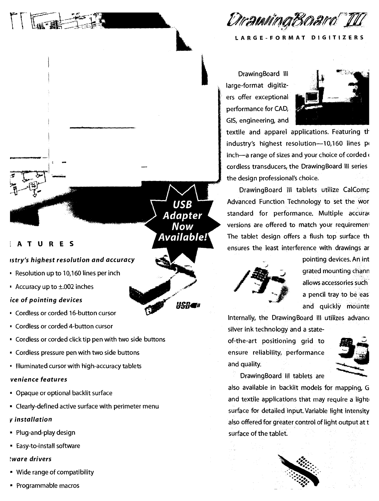

**LARGE-FORMAT DIGITIZERS** 

Drawing Board Ill large-format digitizers offer exceptional performance for CAD, GIS, engineering, and



textile and apparel applications. Featuring th industry's highest resolution-10,160 lines pi inch—a range of sizes and your choice of corded  $\epsilon$ cordless transducers, the Drawing Board III series the design professional's choice.

DrawingBoard III tablets utilize CalComp Advanced Function Technology to set the wor standard for performance. Multiple accural versions are offered to match your requirement The tablet design offers a flush top surface th ensures the least interference with drawings ar



pointing devices. An int grated mounting chann allows accessories such a pencil tray to be eas and quickly mounte

Internally, the DrawingBoard III utilizes advance silver ink technology and a state-

of-the-art positioning grid to ensure reliability, performance and quality.



DrawingBoard III tablets are

also available in backlit models for mapping, G and textile applications that may require a light surface for detailed input. Variable light intensity also offered for greater control of light output at t surface of the tablet.

**USB Adapter Now** Available!

H<del>SR</del>eb

### **iATURES**

#### *fstry's highest resolution and accuracy*

- Resolution up to 10,160 lines per inch
- Accuracy up to ±.002 inches

#### *ice of pointing devices*

- Cordless or corded 16-button cursor
- Cordless or corded 4-button cursor
- Cordless or corded click tip pen with two side buttons
- Cordless pressure pen with two side buttons
- Illuminated cursor with high-accuracy tablets

#### *venience features*

- Opaque or optional backlit surface
- Clearly-defined active surface with perimeter menu
- v *installation*
- Plug-and-play design
- Easy-to-install software

#### *tware drivers*

- Wide range of compatibility
- Programmable macros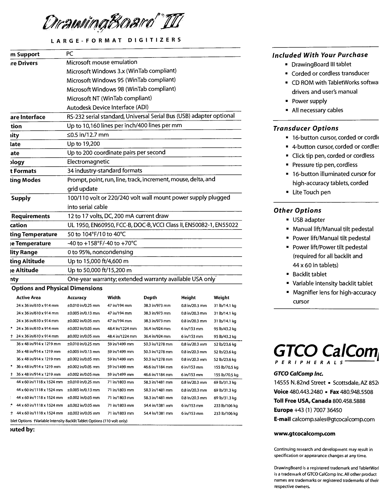

#### **LARGE-FORMAT DIGITIZERS**

| m Support                                                               | PC                                                                  |                 |                 |                  |                |  |
|-------------------------------------------------------------------------|---------------------------------------------------------------------|-----------------|-----------------|------------------|----------------|--|
| re Drivers                                                              | Microsoft mouse emulation                                           |                 |                 |                  |                |  |
|                                                                         | Microsoft Windows 3.x (WinTab compliant)                            |                 |                 |                  |                |  |
|                                                                         | Microsoft Windows 95 (WinTab compliant)                             |                 |                 |                  |                |  |
|                                                                         | Microsoft Windows 98 (WinTab compliant)                             |                 |                 |                  |                |  |
|                                                                         | Microsoft NT (WinTab compliant)                                     |                 |                 |                  |                |  |
|                                                                         | Autodesk Device Interface (ADI)                                     |                 |                 |                  |                |  |
| are Interface                                                           | RS-232 serial standard, Universal Serial Bus (USB) adapter optional |                 |                 |                  |                |  |
| tion                                                                    | Up to 10,160 lines per inch/400 lines per mm                        |                 |                 |                  |                |  |
| iity                                                                    | ≤0.5 in/12.7 mm                                                     |                 |                 |                  |                |  |
| late                                                                    | Up to 19,200                                                        |                 |                 |                  |                |  |
| ate                                                                     | Up to 200 coordinate pairs per second                               |                 |                 |                  |                |  |
| ગવ્ય                                                                    | Electromagnetic                                                     |                 |                 |                  |                |  |
| t Formats                                                               | 34 industry-standard formats                                        |                 |                 |                  |                |  |
| ting Modes                                                              | Prompt, point, run, line, track, increment, mouse, delta, and       |                 |                 |                  |                |  |
|                                                                         | grid update                                                         |                 |                 |                  |                |  |
| <b>Supply</b>                                                           | 100/110 volt or 220/240 volt wall mount power supply plugged        |                 |                 |                  |                |  |
|                                                                         | into serial cable                                                   |                 |                 |                  |                |  |
| <b>Requirements</b>                                                     | 12 to 17 volts, DC, 200 mA current draw                             |                 |                 |                  |                |  |
| cation                                                                  | UL 1950, EN60950, FCC-B, DOC-B, VCCI Class II, EN50082-1, EN55022   |                 |                 |                  |                |  |
| ting Temperature                                                        | 50 to 104°F/10 to 40°C                                              |                 |                 |                  |                |  |
| e Temperature                                                           | -40 to +158°F/-40 to +70°C                                          |                 |                 |                  |                |  |
| lity Range                                                              | 0 to 95%, noncondensing                                             |                 |                 |                  |                |  |
| ting Altitude                                                           | Up to 15,000 ft/4,600 m                                             |                 |                 |                  |                |  |
| <sub>i</sub> e Altitude                                                 | Up to 50,000 ft/15,200 m                                            |                 |                 |                  |                |  |
| nty                                                                     | One-year warranty; extended warranty available USA only             |                 |                 |                  |                |  |
| <b>Options and Physical Dimensions</b>                                  |                                                                     |                 |                 |                  |                |  |
| <b>Active Area</b>                                                      | Accuracy                                                            | Width           | Depth           | Height           | Weight         |  |
| 24 x 36 in/610 x 914 mm                                                 | ±0.010 in/0.25 mm                                                   | 47 in/194 mm    | 38.3 in/973 mm  | 0.8 in/20.3 mm   | 31 lb/14.1 kg  |  |
| 24 x 36 in/610 x 914 mm                                                 | ±0.005 in/0.13 mm                                                   | 47 in/194 mm    | 38.3 in/973 mm  | 0.8 in/20.3 mm   | 31 lb/14.1 kg  |  |
| 24 x 36 in/610 x 914 mm                                                 | ±0.002 in/0.05 mm                                                   | 47 in/194 mm    | 38.3 in/973 mm  | 0.8 in/20.3 mm   | 31 lb/14.1 kg  |  |
| 24 x 36 in/610 x 914 mm                                                 | ±0.002 in/0.05 mm                                                   | 48.4 in/1224 mm | 36.4 in/924 mm  | 6 in/153 mm      | 95 lb/43.2 kg  |  |
| 24 x 36 in/610 x 914 mm<br>đ.                                           | ±0.002 in/0.05 mm                                                   | 48.4 in/1224 mm | 36.4 in/924 mm  | 6 in/153 mm      | 95 lb/43.2 kg  |  |
| 36 x 48 in/914 x 1219 mm                                                | $\pm 0.010$ in/0.25 mm                                              | 59 in/1499 mm   | 50.3 in/1278 mm | 0.8 in/20.3 mm   | 52 lb/23.6 kg  |  |
| 36 x 48 in/914 x 1219 mm                                                | ±0.005 in/0.13 mm                                                   | 59 in/1499 mm   | 50.3 in/1278 mm | 0.8 in/20.3 mm   | 52 lb/23.6 kg  |  |
| 36 x 48 in/914 x 1219 mm                                                | ±0.002 in/0.05 mm                                                   | 59 in/1499 mm   | 50.3 in/1278 mm | 0.8 in/20.3 mm   | 52 lb/23.6 kg  |  |
| 36 x 48 in/914 x 1219 mm                                                | ±0.002 in/0.05 mm                                                   | 59 in/1499 mm   | 46.6 in/1184 mm | 6 in/153 mm      | 155 lb/70.5 kg |  |
| 36 x 48 in/914 x 1219 mm<br>.t                                          | ±0.002 in/0.05 mm                                                   | 59 in/1499 mm   | 46.6 in/1184 mm | 6 in/153 mm      | 155 lb/70.5 kg |  |
| 44 x 60 in/1118 x 1524 mm                                               | $±0.010$ in/0.25 mm                                                 | 71 in/1803 mm   | 58.3 in/1481 mm | 0.8 in/20.3 mm   | 69 lb/31.3 kg  |  |
| 44 x 60 in/1118 x 1524 mm                                               | $\pm 0.005$ in/0.13 mm                                              | 71 in/1803 mm   | 58.3 in/1481 mm | $0.8$ in/20.3 mm | 69 lb/31.3 kg  |  |
| 44 x 60 in/1118 x 1524 mm                                               | ±0.002 in/0.05 mm                                                   | 71 in/1803 mm   | 58.3 in/1481 mm | 0.8 in/20.3 mm   | 69 lb/31.3 kg  |  |
| ÷<br>44 x 60 in/1118 x 1524 mm                                          | ±0.002 in/0.05 mm                                                   | 71 in/1803 mm   | 54.4 in/1381 mm | 6 in/153 mm      | 233 lb/106 kg  |  |
| 44 x 60 in/1118 x 1524 mm<br>П.                                         | ±0.002 in/0.05 mm                                                   | 71 in/1803 mm   | 54.4 in/1381 mm | 6 in/153 mm      | 233 lb/106 kg  |  |
| blet Options +Variable Intensity 8acklit Tablet Options (110 volt only) |                                                                     |                 |                 |                  |                |  |

**)uted by:** 

#### **Included With Your Purchase**

- DrawingBoard III tablet
- Corded or cordless transducer
- CD ROM with TabletWorks softwal drivers and user's manual
- Power supply
- All necessary cables

#### **Transducer Options**

- 16-button cursor, corded or cordle
- 4-button cursor, corded or cordles
- Click tip pen, corded or cordless
- Pressure tip pen, cordless
- 16-button illuminated cursor for high-accuracy tablets, corded
- Lite Touch pen

#### **Other Options**

- USB adapter
- Manual lift/Manual tilt pedestal
- Power lift/Manual tilt pedestal
- Power lift/Power tilt pedestal (required for all backlit and 44 x 60 in tablets)
- Backlit tablet
- Variable intensity backlit tablet
- Magnifier lens for high-accuracy cursor



#### **GTCO CalComp Inc.**

14555 N.82nd Street • Scottsdale, AZ 8521 **Voice** 480.443.2480 ■ **Fax** 480.948.5508 **Toll Free USA, Canada** 800.458.5888 **Europe** +43 (1) 7007 36450 **E-mail** calcomp.sales@gtcocalcomp.com

#### **www.gtcocalcomp.com**

Continuing research and development may result in specification or appearance changes at any time.

Drawing Board is a registered trademark and TabletWorl is a trademark of GTCO CalComp Inc. All other product names are trademarks or registered trademarks of their respective owners.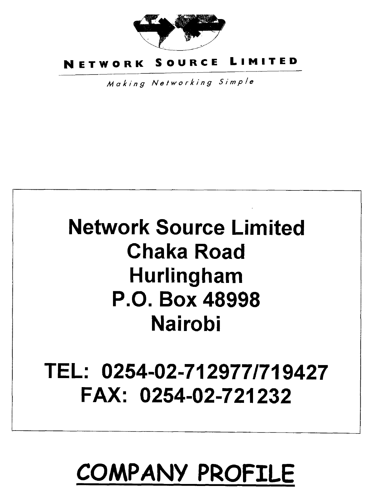

# **NETWORK SOURCE LIMITED**

Making Networking Simple

# **Network Source Limited Chaka Road Hurlingham P.O. Box 48998 Nairobi**

# **TEL: 0254-02-712977/719427 FAX: 0254-02-721232**

# **COMPANY PROFILE**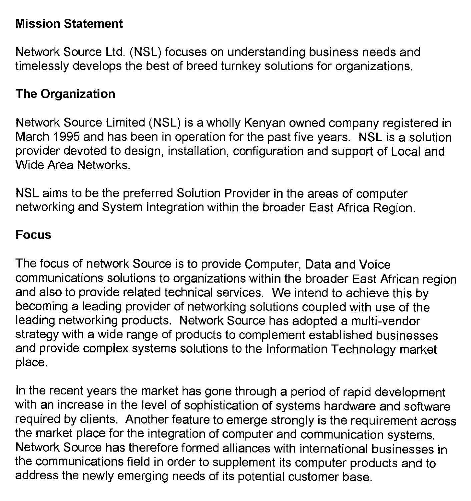### **Mission Statement**

Network Source Ltd. (NSL) focuses on understanding business needs and timelessly develops the best of breed turnkey solutions for organizations.

# **The Organization**

Network Source Limited (NSL) is a wholly Kenyan owned company registered in March 1995 and has been in operation for the past five years. NSL is a solution provider devoted to design, installation, configuration and support of Local and Wide Area Networks.

NSL aims to be the preferred Solution Provider in the areas of computer networking and System Integration within the broader East Africa Region.

### **Focus**

The focus of network Source is to provide Computer, Data and Voice communications solutions to organizations within the broader East African region and also to provide related technical services. We intend to achieve this by becoming a leading provider of networking solutions coupled with use of the leading networking products. Network Source has adopted a multi-vendor strategy with a wide range of products to complement established businesses and provide complex systems solutions to the Information Technology market place.

In the recent years the market has gone through a period of rapid development with an increase in the level of sophistication of systems hardware and software required by clients. Another feature to emerge strongly is the requirement across the market place for the integration of computer and communication systems. Network Source has therefore formed alliances with international businesses in the communications field in order to supplement its computer products and to address the newly emerging needs of its potential customer base.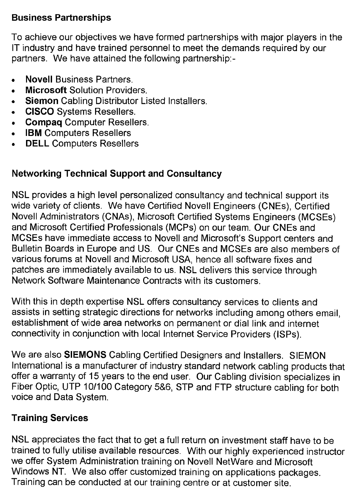# **Business Partnerships**

To achieve our objectives we have formed partnerships with major players in the IT industry and have trained personnel to meet the demands required by our partners. We have attained the following partnership:-

- **Novell** Business Partners.
- **Microsoft** Solution Providers.
- **Siemon** Cabling Distributor Listed Installers.
- CISCO Systems Resellers.
- **Compaq** Computer Resellers.
- **IBM** Computers Resellers
- **DELL** Computers Resellers

# **Networking Technical Support and Consultancy**

NSL provides a high level personalized consultancy and technical support its wide variety of clients. We have Certified Novell Engineers (CNEs), Certified Novell Administrators (CNAs), Microsoft Certified Systems Engineers (MCSEs) and Microsoft Certified Professionals (MCPs) on our team. Our CNEs and MCSEs have immediate access to Novell and Microsoft's Support centers and Bulletin Boards in Europe and US. Our CNEs and MCSEs are also members of various forums at Novell and Microsoft USA, hence all software fixes and patches are immediately available to us. NSL delivers this service through Network Software Maintenance Contracts with its customers.

With this in depth expertise NSL offers consultancy services to clients and assists in setting strategic directions for networks including among others email, establishment of wide area networks on permanent or dial link and internet connectivity in conjunction with local Internet Service Providers (ISPs).

We are also **SIEMONS** Cabling Certified Designers and Installers. SIEMON International is a manufacturer of industry standard network cabling products that offer a warranty of 15 years to the end user. Our Cabling division specializes in Fiber Optic, UTP 10/100 Category 5&6, STP and FTP structure cabling for both voice and Data System.

# **Training Services**

NSL appreciates the fact that to get a full return on investment staff have to be trained to fully utilise available resources. With our highly experienced instructor we offer System Administration training on Novell NetWare and Microsoft Windows NT. We also offer customized training on applications packages. Training can be conducted at our training centre or at customer site.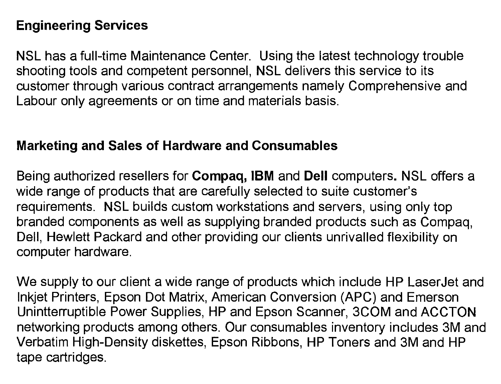# **Engineering Services**

NSL has a full-time Maintenance Center. Using the latest technology trouble shooting tools and competent personnel, **NSL** delivers this service to its customer through various contract arrangements namely Comprehensive and Labour only agreements or on time and materials basis.

### **Marketing and Sales of Hardware and Consumables**

Being authorized resellers for **Compaq, IBM** and **Dell** computers. NSL offers a wide range of products that are carefully selected to suite customer's requirements. NSL builds custom workstations and servers, using only top branded components as well as supplying branded products such as Compaq, Dell, Hewlett Packard and other providing our clients unrivalled flexibility on computer hardware.

We supply to our client a wide range of products which include HP LaserJet and Inkjet Printers, Epson Dot Matrix, American Conversion (APC) and Emerson Unintterruptible Power Supplies, HP and Epson Scanner, 3COM and ACCTON networking products among others. Our consumables inventory includes 3M and Verbatim High-Density diskettes, Epson Ribbons, HP Toners and 3M and HP tape cartridges.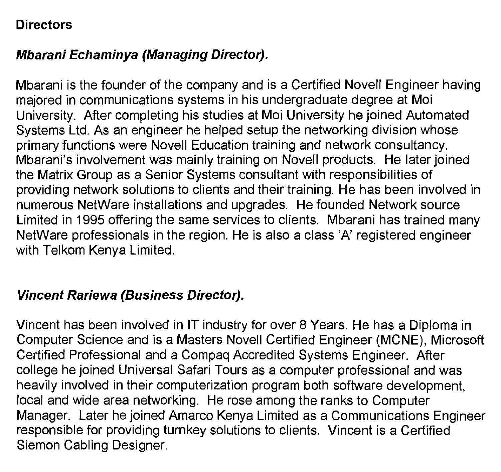# **Directors**

# **Mbarani Echaminya (Managing Director).**

Mbarani is the founder of the company and is a Certified Novell Engineer having majored in communications systems in his undergraduate degree at Moi University. After completing his studies at Moi University he joined Automated Systems Ltd. As an engineer he helped setup the networking division whose primary functions were Novell Education training and network consultancy. Mbarani's involvement was mainly training on Novell products. He later joined the Matrix Group as a Senior Systems consultant with responsibilities of providing network solutions to clients and their training. He has been involved in numerous NetWare installations and upgrades. He founded Network source Limited in 1995 offering the same services to clients. Mbarani has trained many NetWare professionals in the region. He is also a class 'A' registered engineer with Telkom Kenya Limited.

### **Vincent Rariewa (Business Director).**

Vincent has been involved in **IT** industry for over 8 Years. He has a Diploma in Computer Science and is a Masters Novell Certified Engineer (MCNE), Microsoft Certified Professional and a Compaq Accredited Systems Engineer. After college he joined Universal Safari Tours as a computer professional and was heavily involved in their computerization program both software development, local and wide area networking. He rose among the ranks to Computer Manager. Later he joined Amarco Kenya Limited as a Communications Engineer responsible for providing turnkey solutions to clients. Vincent is a Certified Siemon Cabling Designer.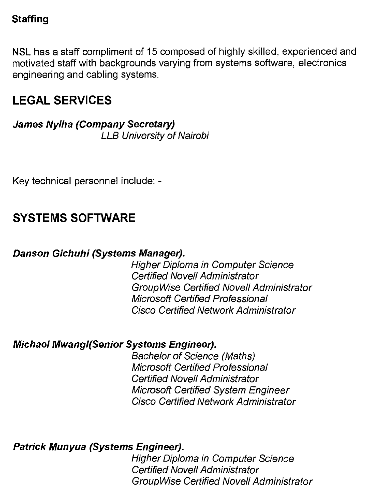# **Staffing**

NSL has a staff compliment of 15 composed of highly skilled, experienced and motivated staff with backgrounds varying from systems software, electronics engineering and cabling systems.

# **LEGAL SERVICES**

**James Nyiha (Company Secretary)**  LLB University of Nairobi

Key technical personnel include: **-** 

# **SYSTEMS SOFTWARE**

# **Danson Gichuhi (Systems Manager).**

Higher Diploma in Computer Science Certified Novell Administrator GroupWise Certified Novell Administrator Microsoft Certified Professional Cisco Certified Network Administrator

# **Michael Mwangi(Senior Systems Engineer).**

Bachelor of Science (Maths) Microsoft Certified Professional Certified Novell Administrator Microsoft Certified System Engineer Cisco Certified Network Administrator

**Patrick Munyua (Systems Engineer).** 

Higher Diploma in Computer Science Certified Novell Administrator GroupWise Certified Novell Administrator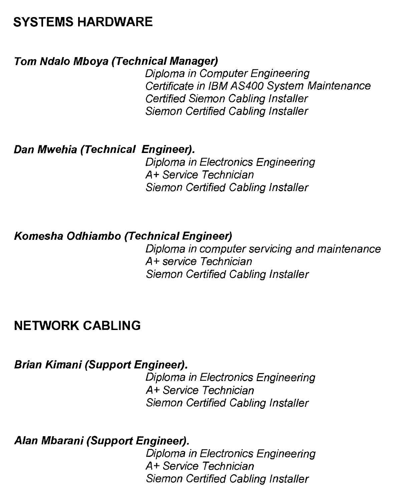# **SYSTEMS HARDWARE**

#### **Tom Ndalo Mboya (Technical Manager)**

Diploma in Computer Engineering Certificate in IBM AS400 System Maintenance Certified Siemon Cabling Installer Siemon Certified Cabling Installer

#### **Dan Mwehia (Technical Engineer).**

Diploma in Electronics Engineering A+ Service Technician Siemon Certified Cabling Installer

### **Komesha Odhiambo (Technical Engineer)**

Diploma in computer servicing and maintenance A+ service Technician Siemon Certified Cabling Installer

# **NETWORK CABLING**

**Brian Kimani (Support Engineer).** 

Diploma in Electronics Engineering **A+** Service Technician Siemon Certified Cabling Installer

**Alan Mbarani (Support Engineer).** 

Diploma in Electronics Engineering A+ Service Technician Siemon Certified Cabling Installer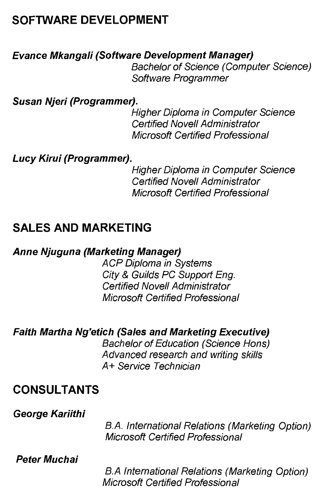# **SOFTWARE DEVELOPMENT**

### **Evance Mkangali (Software Development Manager)**

Bachelor of Science (Computer Science) Software Programmer

**Susan Njeri (Programmer).** 

Higher Diploma in Computer Science Certified Novell Administrator Microsoft Certified Professional

### **Lucy Kirui (Programmer).**

Higher Diploma in Computer Science Certified Novell Administrator Microsoft Certified Professional

# **SALES AND MARKETING**

### **Anne Njuguna (Marketing Manager)**

ACP Diploma in Systems City & Guilds PC Support Eng. Certified Novell Administrator Microsoft Certified Professional

# **Faith Martha Ng'etich (Sales and Marketing Executive)**

Bachelor of Education (Science Hons) Advanced research and writing skills A+ Service Technician

# **CONSULTANTS**

#### **George Kariithi**

B.A. International Relations (Marketing Option) Microsoft Certified Professional

**Peter Muchai** 

B.A International Relations (Marketing Option) Microsoft Certified Professional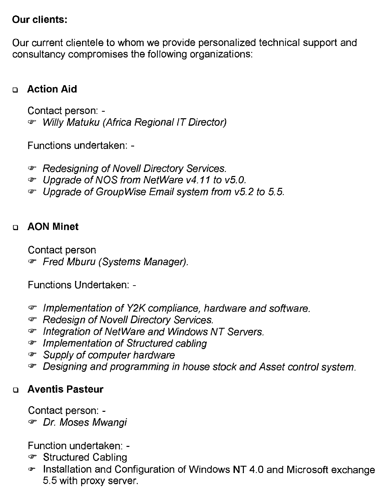# **Our clients:**

Our current clientele to whom we provide personalized technical support and consultancy compromises the following organizations:

# ❑ **Action Aid**

Contact person: co- Willy Matuku (Africa Regional IT Director)

Functions undertaken: -

- **Example 2** Redesigning of Novell Directory Services.
- 0-Upgrade of NOS from NetWare v4.11 to v5.0.
- $\bullet$  Upgrade of Group Wise Email system from v5.2 to 5.5.

# ❑ **AON Minet**

Contact person

Fred Mburu (Systems Manager).

Functions Undertaken: -

- $\sigma$  Implementation of Y2K compliance, hardware and software.
- *F* Redesign of Novell Directory Services.
- ☞ Integration of NetWare and Windows NT Servers.
- Implementation of Structured cabling
- $\mathcal F$  Supply of computer hardware
- ⊕ Designing and programming in house stock and Asset control system.

# ❑ **Aventis Pasteur**

Contact person: -

*T* Dr. Moses Mwangi

- ☞ Structured Cabling
- cv-Installation and Configuration of Windows **NT** 4.0 and Microsoft exchange 5.5 with proxy server.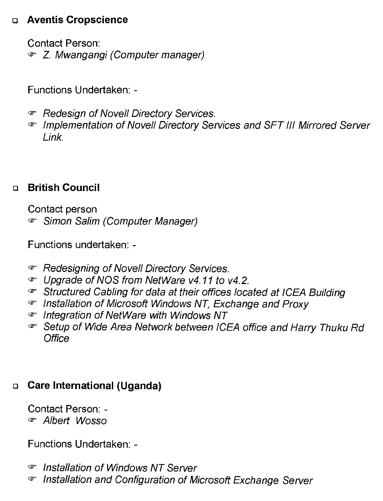# ❑ **Aventis Cropscience**

Contact Person: co- Z. Mwangangi (Computer manager)

Functions Undertaken: -

- $\mathcal{F}$  Redesign of Novell Directory Services.
- '2-Implementation of Novell Directory Services and SFT III Mirrored Server Link.

# ❑ **British Council**

Contact person Simon Salim (Computer Manager)

Functions undertaken: -

- $\infty$  Redesigning of Novell Directory Services.
- 0-Upgrade of NOS from NetWare v4.11 to v4.2.
- 0-Structured Cabling for data at their offices located at ICEA Building
- 0-Installation of Microsoft Windows NT, Exchange and Proxy
- 0-Integration of NetWare with Windows NT
- ⊕ Setup of Wide Area Network between ICEA office and Harry Thuku Rd **Office**

# ❑ **Care International (Uganda)**

Contact Person: cb- Albert Wosso

- <sup>ෙ</sup> Installation of Windows NT Server
- *T* Installation and Configuration of Microsoft Exchange Server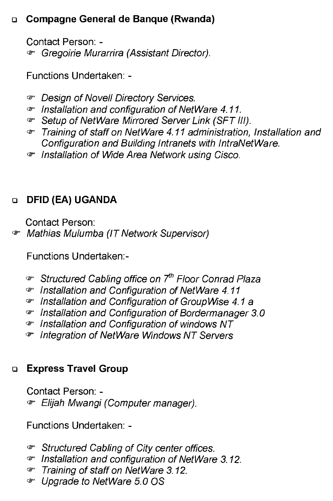# ❑ **Compagne General de Banque (Rwanda)**

Contact Person: -

0- Gregoirie Murarrira (Assistant Director).

Functions Undertaken: -

- *<sup>T</sup>* Design of Novell Directory Services.
- 0Installation and configuration of NetWare 4.11.
- cr Setup of NetWare Mirrored Server Link (SFT III).
- 0Training of staff on NetWare 4.11 administration, Installation and Configuration and Building Intranets with IntraNetWare.
- 0Installation of Wide Area Network using Cisco.

# ❑ **DFID (EA) UGANDA**

Contact Person:

0*-* Mathias Mulumba (IT Network Supervisor)

Functions Undertaken:-

- 0Structured Cabling office on 7*th* Floor Conrad Plaza
- 0Installation and Configuration of NetWare 4.11
- $\sigma$  Installation and Configuration of Group Wise 4.1 a
- 0Installation and Configuration of Bordermanager 3.0
- 0Installation and Configuration of windows NT
- 0Integration of NetWare Windows NT Servers

# ❑ **Express Travel Group**

Contact Person: -  $\in$  Elijah Mwangi (Computer manager).

- 0Structured Cabling of City center offices.
- 0Installation and configuration of NetWare 3.12.
- 0Training of staff on NetWare 3.12.
- 0Upgrade to NetWare 5.0 OS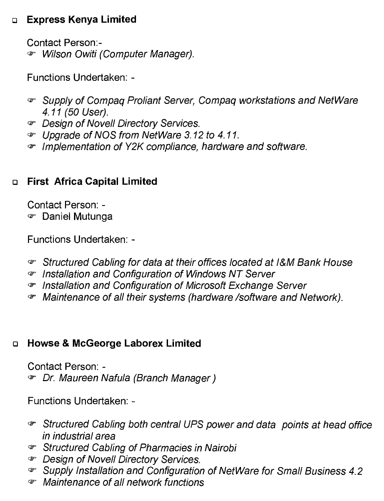# ❑ **Express Kenya Limited**

Contact Person: co- Wilson Owiti (Computer Manager).

Functions Undertaken: -

- (2-Supply of Compaq Proliant Server, Compaq workstations and NetWare 4.11 (50 User).
- 2-Design of Novell Directory Services.
- 2-Upgrade of NOS from NetWare 3.12 to 4.11.
- 2-Implementation of Y2K compliance, hardware and software.

# ❑ **First Africa Capital Limited**

Contact Person: - ☞ Daniel Mutunga

Functions Undertaken: -

- 2-Structured Cabling for data at their offices located at l&M Bank House
- cr Installation and Configuration of Windows NT Server
- (2-Installation and Configuration of Microsoft Exchange Server
- '2- Maintenance of all their systems (hardware /software and Network).

# ❑ **Howse & McGeorge Laborex Limited**

Contact Person: co- Dr. Maureen Nafula (Branch Manager)

- 2-Structured Cabling both central UPS power and data points at head office in industrial area
- (2-Structured Cabling of Pharmacies in Nairobi
- *<sup>3-</sup> Design of Novell Directory Services.*
- 2-Supply Installation and Configuration of NetWare for Small Business 4.2
- (2-Maintenance of all network functions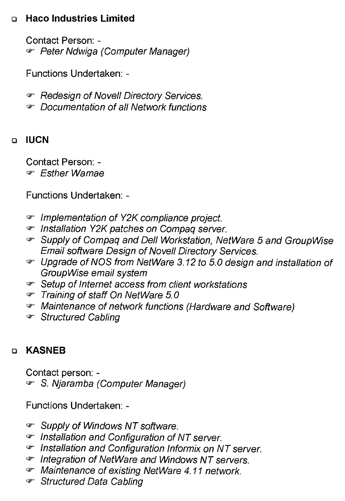# ❑ **Haco Industries Limited**

Contact Person: - **Peter Ndwiga (Computer Manager)** 

Functions Undertaken: -

 $P$  Redesign of Novell Directory Services.

- Documentation of all Network functions

# ❑ **IUCN**

Contact Person: - • Esther Wamae

Functions Undertaken: -

- 0-Implementation of Y2K compliance project.
- 0-Installation Y2K patches on Compaq server.
- 0-Supply of Compaq and Dell Workstation, NetWare 5 and Group Wise Email software Design of Novell Directory Services.
- 0-Upgrade of NOS from NetWare 3.12 to 5.0 design and installation of Group Wise email system
- 0-Setup of Internet access from client workstations
- Training of staff On NetWare 5.0
- 0-Maintenance of network functions (Hardware and Software)
- 0-Structured Cabling

# ❑ **KASNEB**

Contact person: cr S. Njaramba (Computer Manager)

- 0-Supply of Windows NT software.
- **The Installation and Configuration of NT server.**
- 0' Installation and Configuration Informix on NT server.
- 0-Integration of NetWare and Windows NT servers.
- Maintenance of existing NetWare 4.11 network.
- **<sup>®</sup>** Structured Data Cabling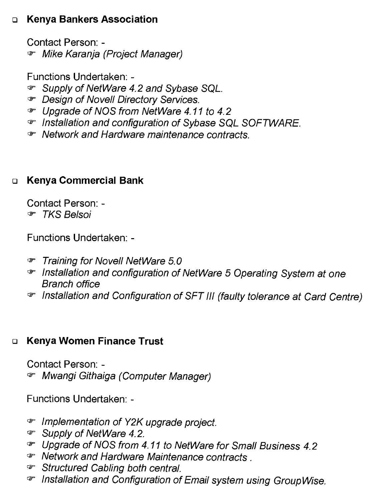# ❑ **Kenya Bankers Association**

Contact Person: -  $\sigma$  Mike Karanja (Project Manager)

Functions Undertaken: -

- Supply of NetWare 4.2 and Sybase SQL.
- 0Design of Novell Directory Services.
- oUpgrade of NOS from NetWare 4.11 to 4.2
- $\sigma$  Installation and configuration of Sybase SQL SOFTWARE.
- coNetwork and Hardware maintenance contracts.

# ❑ **Kenya Commercial Bank**

Contact Person: - 0- TKS Belsoi

Functions Undertaken: -

- *F* Training for Novell NetWare 5.0
- coInstallation and configuration of NetWare 5 Operating System at one Branch office
- oInstallation and Configuration of SFT III (faulty tolerance at Card Centre)

# ❑ **Kenya Women Finance Trust**

Contact Person: c2- Mwangi Githaiga (Computer Manager)

- oImplementation of Y2K upgrade project.
- Gr Supply of NetWare 4.2.
- *,*oUpgrade of NOS from 4.11 to NetWare for Small Business 4.2
- $\bullet$  Network and Hardware Maintenance contracts.
- *F* Structured Cabling both central.
- coInstallation and Configuration of Email system using Group Wise.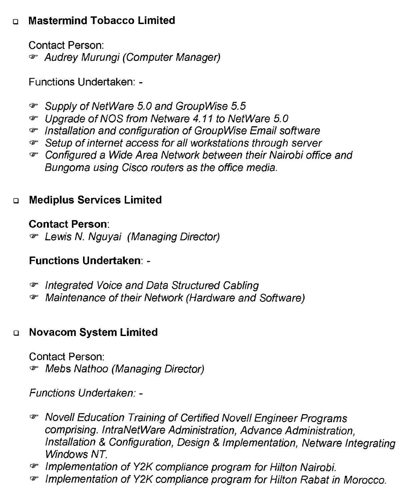# ❑ **Mastermind Tobacco Limited**

Contact Person: *F* Audrey Murungi (Computer Manager)

Functions Undertaken: -

- (0Supply of NetWare 5.0 and Group Wise 5.5
- *,*z- Upgrade of NOS from Netware 4.11 to NetWare 5.0
- qr Installation and configuration of Group Wise Email software
- cr Setup of internet access for all workstations through server
- (0Configured a Wide Area Network between their Nairobi office and Bungoma using Cisco routers as the office media.

# ❑ **Mediplus Services Limited**

# **Contact Person:**

cr Lewis N. Nguyai (Managing Director)

# **Functions Undertaken: -**

- **cr** Integrated Voice and Data Structured Cabling
- cr Maintenance of their Network (Hardware and Software)

# ❑ **Novacom System Limited**

Contact Person: qr*.* Mebs Nathoo (Managing Director)

- czNovell Education Training of Certified Novell Engineer Programs comprising. IntraNetWare Administration, Advance Administration, Installation & Configuration, Design & Implementation, Netware Integrating Windows NT
- c#=*.* Implementation of Y2K compliance program for Hilton Nairobi.
- cr*.* Implementation of Y2K compliance program for Hilton Rabat in Morocco.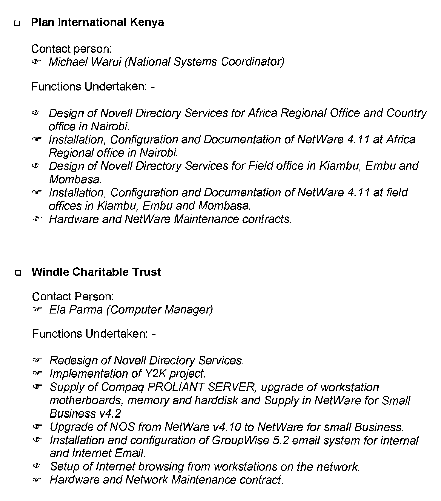# ❑ **Plan International Kenya**

Contact person:

0-Michael Warui (National Systems Coordinator)

Functions Undertaken: -

- ☞ Design of Novell Directory Services for Africa Regional Office and Country office in Nairobi.
- $\mathcal F$  Installation, Configuration and Documentation of NetWare 4.11 at Africa Regional office in Nairobi.
- ⊕ Design of Novell Directory Services for Field office in Kiambu, Embu and Mombasa.
- $\sigma$  Installation, Configuration and Documentation of NetWare 4.11 at field offices in Kiambu, Embu and Mombasa.
- 0-Hardware and NetWare Maintenance contracts.

# ❑ **Windle Charitable Trust**

Contact Person: ☞ Ela Parma (Computer Manager)

- $\cdot$  Redesign of Novell Directory Services.
- $\sigma$  Implementation of Y2K project.
- cr Supply of Compaq PROLIANT SERVER, upgrade of workstation motherboards, memory and harddisk and Supply in NetWare for Small Business v4.2
- ⊕ Upgrade of NOS from NetWare v4.10 to NetWare for small Business.
- 0-Installation and configuration of Group Wise 5.2 email system for internal and Internet Email.
- $\mathcal{F}$  Setup of Internet browsing from workstations on the network.
- a- Hardware and Network Maintenance contract.